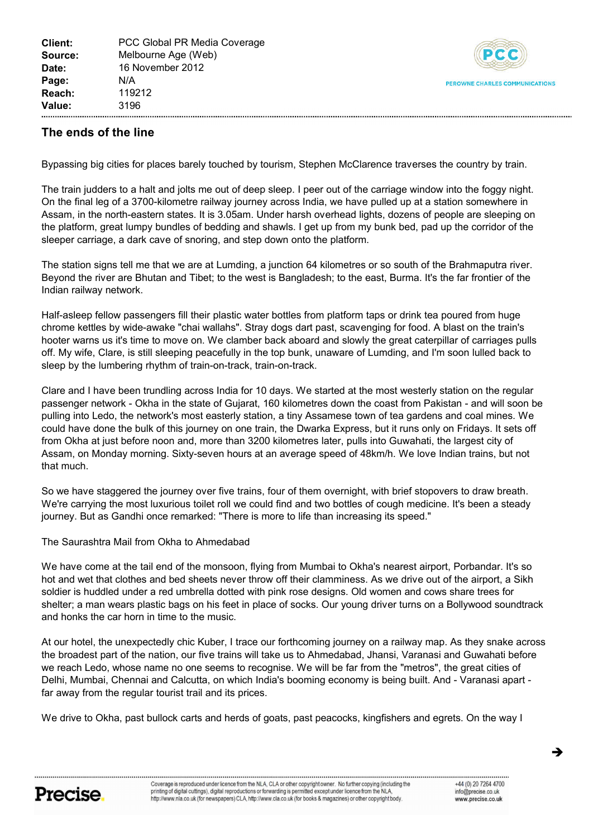

## **The ends ,f the line**

Bypassing big cities for places barely touched by tourism, Stephen McClarence traverses the country by train.

The train judders to a halt and jolts me out of deep sleep. I peer out of the carriage window into the foggy night. On the final leg of a 3700-kilometre railway journey across India, we have pulled up at a station somewhere in Assam, in the north-eastern states. It is 3.05am. Under harsh overhead lights, dozens of people are sleeping on the platform, great lumpy bundles of bedding and shawls. I get up from my bunk bed, pad up the corridor of the sleeper carriage, a dark cave of snoring, and step down onto the platform.

The station signs tell me that we are at Lumding, a junction 64 kilometres or so south of the Brahmaputra river. Beyond the river are Bhutan and Tibet; to the west is Bangladesh; to the east, Burma. It's the far frontier of the Indian railway network.

Half-asleep fellow passengers fill their plastic water bottles from platform taps or drink tea poured from huge chrome kettles by wide-awake "chai wallahs". Stray dogs dart past, scavenging for food. A blast on the train's hooter warns us it's time to move on. We clamber back aboard and slowly the great caterpillar of carriages pulls off. My wife, Clare, is still sleeping peacefully in the top bunk, unaware of Lumding, and I'm soon lulled back to sleep by the lumbering rhythm of train-on-track, train-on-track.

Clare and I have been trundling across India for 10 days. We started at the most westerly station on the regular passenger network - Okha in the state of Gujarat, 160 kilometres down the coast from Pakistan - and will soon be pulling into Ledo, the network's most easterly station, a tiny Assamese town of tea gardens and coal mines. We could have done the bulk of this journey on one train, the Dwarka Express, but it runs only on Fridays. It sets off from Okha at just before noon and, more than 3200 kilometres later, pulls into Guwahati, the largest city of Assam, on Monday morning. Sixty-seven hours at an average speed of 48km/h. We love Indian trains, but not that much.

So we have staggered the journey over five trains, four of them overnight, with brief stopovers to draw breath. We're carrying the most luxurious toilet roll we could find and two bottles of cough medicine. It's been a steady journey. But as Gandhi once remarked: "There is more to life than increasing its speed."

The Saurashtra Mail from Okha to Ahmedabad

We have come at the tail end of the monsoon, flying from Mumbai to Okha's nearest airport, Porbandar. It's so hot and wet that clothes and bed sheets never throw off their clamminess. As we drive out of the airport, a Sikh soldier is huddled under a red umbrella dotted with pink rose designs. Old women and cows share trees for shelter; a man wears plastic bags on his feet in place of socks. Our young driver turns on a Bollywood soundtrack and honks the car horn in time to the music.

At our hotel, the unexpectedly chic Kuber, I trace our forthcoming journey on a railway map. As they snake across the broadest part of the nation, our five trains will take us to Ahmedabad, Jhansi, Varanasi and Guwahati before we reach Ledo, whose name no one seems to recognise. We will be far from the "metros", the great cities of Delhi, Mumbai, Chennai and Calcutta, on which India's booming economy is being built. And - Varanasi apart far away from the regular tourist trail and its prices.

We drive to Okha, past bullock carts and herds of goats, past peacocks, kingfishers and egrets. On the way I



è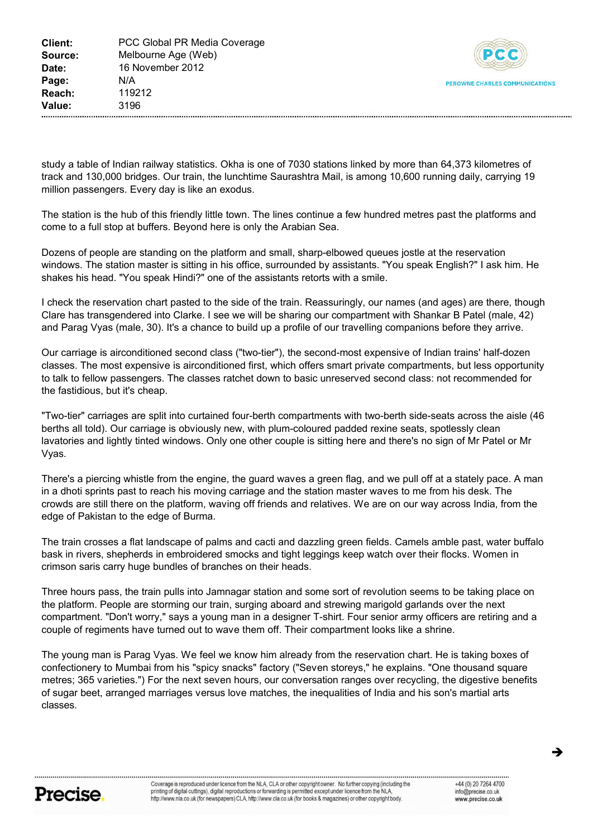

study a table of Indian railway statistics. Okha is one of 7030 stations linked by more than 64,373 kilometres of track and 130,000 bridges. Our train, the lunchtime Saurashtra Mail, is among 10,600 running daily, carrying 19 million passengers. Every day is like an exodus.

The station is the hub of this friendly little town. The lines continue a few hundred metres past the platforms and come to a full stop at buffers. Beyond here is only the Arabian Sea.

Dozens of people are standing on the platform and small, sharp-elbowed queues jostle at the reservation windows. The station master is sitting in his office, surrounded by assistants. "You speak English?" I ask him. He shakes his head. "You speak Hindi?" one of the assistants retorts with a smile.

I check the reservation chart pasted to the side of the train. Reassuringly, our names (and ages) are there, though Clare has transgendered into Clarke. I see we will be sharing our compartment with Shankar B Patel (male, 42) and Parag Vyas (male, 30). It's a chance to build up a profile of our travelling companions before they arrive.

Our carriage is airconditioned second class ("two-tier"), the second-most expensive of Indian trains' half-dozen classes. The most expensive is airconditioned first, which offers smart private compartments, but less opportunity to talk to fellow passengers. The classes ratchet down to basic unreserved second class: not recommended for the fastidious, but it's cheap.

"Two-tier" carriages are split into curtained four-berth compartments with two-berth side-seats across the aisle (46 berths all told). Our carriage is obviously new, with plum-coloured padded rexine seats, spotlessly clean lavatories and lightly tinted windows. Only one other couple is sitting here and there's no sign of Mr Patel or Mr Vyas.

There's a piercing whistle from the engine, the guard waves a green flag, and we pull off at a stately pace. A man in a dhoti sprints past to reach his moving carriage and the station master waves to me from his desk. The crowds are still there on the platform, waving off friends and relatives. We are on our way across India, from the edge of Pakistan to the edge of Burma.

The train crosses a flat landscape of palms and cacti and dazzling green fields. Camels amble past, water buffalo bask in rivers, shepherds in embroidered smocks and tight leggings keep watch over their flocks. Women in crimson saris carry huge bundles of branches on their heads.

Three hours pass, the train pulls into Jamnagar station and some sort of revolution seems to be taking place on the platform. People are storming our train, surging aboard and strewing marigold garlands over the next compartment. "Don't worry," says a young man in a designer T-shirt. Four senior army officers are retiring and a couple of regiments have turned out to wave them off. Their compartment looks like a shrine.

The young man is Parag Vyas. We feel we know him already from the reservation chart. He is taking boxes of confectionery to Mumbai from his "spicy snacks" factory ("Seven storeys," he explains. "One thousand square metres; 365 varieties.") For the next seven hours, our conversation ranges over recycling, the digestive benefits of sugar beet, arranged marriages versus love matches, the inequalities of India and his son's martial arts classes.



 $\rightarrow$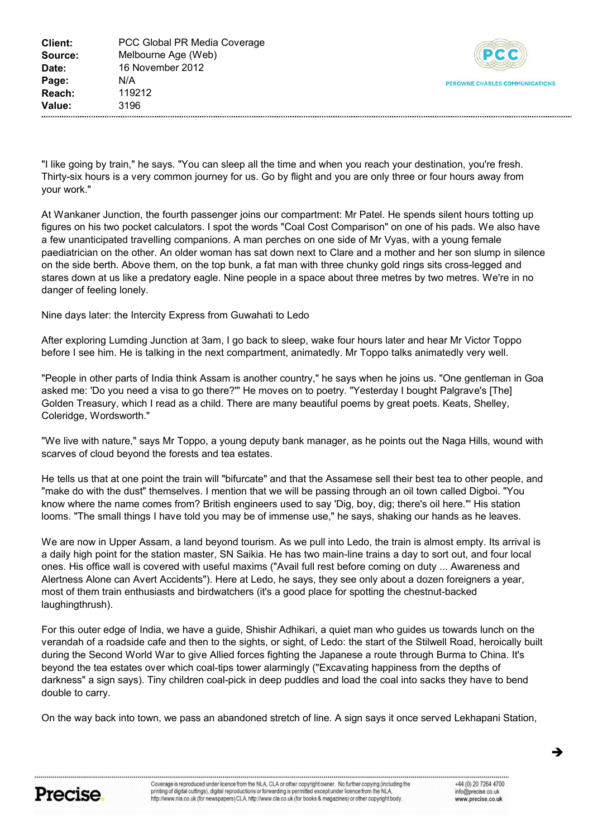

"I like going by train," he says. "You can sleep all the time and when you reach your destination, you're fresh. Thirty-six hours is a very common journey for us. Go by flight and you are only three or four hours away from vour work."

At Wankaner Junction, the fourth passenger joins our compartment: Mr Patel. He spends silent hours totting up figures on his two pocket calculators. I spot the words "Coal Cost Comparison" on one of his pads. We also have a few unanticipated travelling companions. A man perches on one side of Mr Vyas, with a young female paediatrician on the other. An older woman has sat down next to Clare and a mother and her son slump in silence .n the side berth. Above them, on the top bunk, a fat man with three chunky gold rings sits cross-legged and stares down at us like a predatory eagle. Nine people in a space about three metres by two metres. We're in no danger of feeling lonely.

Nine days later: the Intercity Express from Guwahati to Ledo.

After exploring Lumding Junction at 3am, I go back to sleep, wake four hours later and hear Mr Victor Toppo before I see him. He is talking in the next compartment, animatedly. Mr Toppo talks animatedly very well.

"People in other parts of India think Assam is another country," he says when he joins us. "One gentleman in Goa asked me: 'Do you need a visa to go there?"' He moves on to poetry. "Yesterday I bought Palgrave's [The] Golden Treasury, which I read as a child. There are many beautiful poems by great poets. Keats, Shelley, Coleridge, Wordsworth."

"We live with nature," says Mr Toppo, a young deputy bank manager, as he points out the Naga Hills, wound with scarves of cloud beyond the forests and tea estates.

He tells us that at one point the train will "bifurcate" and that the Assamese sell their best tea to other people, and "make do with the dust" themselves. I mention that we will be passing through an oil town called Digboi. "You know where the name comes from? British engineers used to say 'Dig, boy, dig; there's oil here."' His station looms. "The small things I have told you may be of immense use," he says, shaking our hands as he leaves.

We are now in Upper Assam, a land beyond tourism. As we pull into Ledo, the train is almost empty. Its arrival is a daily high point for the station master, SN Saikia. He has two main-line trains a day to sort out, and four local ones. His office wall is covered with useful maxims ("Avail full rest before coming on duty ... Awareness and Alertness Alone can Avert Accidents"). Here at Ledo, he says, they see only about a dozen foreigners a year, most of them train enthusiasts and birdwatchers (it's a good place for spotting the chestnut-backed laughingthrush).

For this outer edge of India, we have a guide, Shishir Adhikari, a quiet man who guides us towards lunch on the verandah of a roadside cafe and then to the sights, or sight, of Ledo: the start of the Stilwell Road, heroically built during the Second World War to give Allied forces fighting the Japanese a route through Burma to China. It's beyond the tea estates over which coal-tips tower alarmingly ("Excavating happiness from the depths of darkness" a sign says). Tiny children coal-pick in deep puddles and load the coal into sacks they have to bend double to carry.

On the way back into town, we pass an abandoned stretch of line. A sign says it once served Lekhapani Station,



è